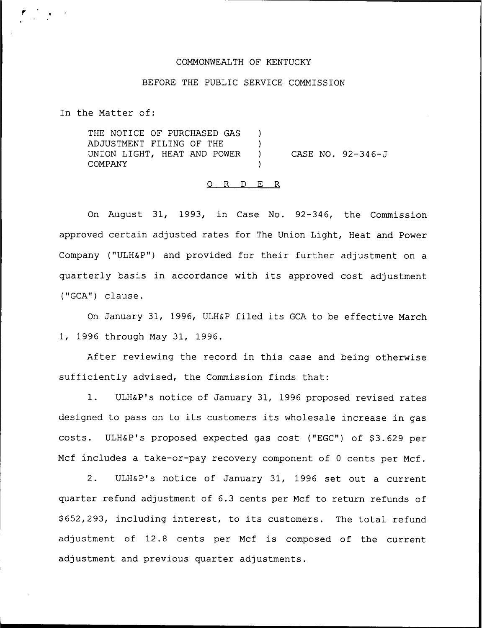#### COMMONWEALTH OF KENTUCKY

### BEFORE THE PUBLIC SERVICE COMMISSION

In the Matter of:

THE NOTICE OF PURCHASED GAS ) ADJUSTMENT FILING OF THE ) UNION LIGHT, HEAT AND POWER ) **COMPANY** CASE NO. 92-346-J

### 0 <sup>R</sup> <sup>D</sup> E R

On August 31, 1993, in Case No. 92-346, the Commission approved certain adjusted rates for The Union Light, Heat and Power Company ("ULH&P") and provided for their further adjustment on a quarterly basis in accordance with its approved cost adjustment ("GCA") clause.

On January 31, 1996, ULH&P filed its GCA to be effective March 1, 1996 through May 31, 1996.

After reviewing the record in this case and being otherwise sufficiently advised, the Commission finds that:

1. ULH&P's notice of January 31, 1996 proposed revised rates designed to pass on to its customers its wholesale increase in gas costs. ULH&P's proposed expected gas cost ("EGC") of \$3.629 per Mcf includes a take-or-pay recovery component of <sup>0</sup> cents per Mcf.

2. ULH&P's notice of January 31, 1996 set out a current quarter refund adjustment of 6.3 cents per Mcf to return refunds of \$ 652,293, including interest, to its customers. The total refund adjustment of 12.8 cents per Mcf is composed of the current adjustment and previous quarter adjustments.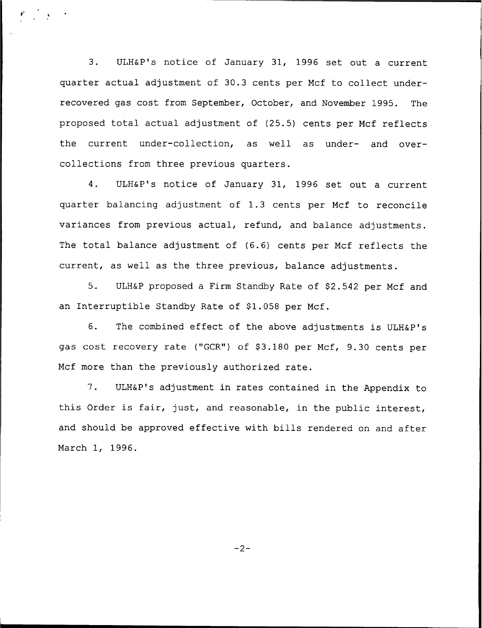3. ULH&P's notice of January 31, 1996 set out a current quarter actual adjustment of 30.3 cents per Mcf to collect underrecovered gas cost from September, October, and November 1995. The proposed total actual adjustment of (25.5) cents per Mcf reflects the current under-collection, as well as under- and overcollections from three previous quarters.

4. ULH&P's notice of January 31, 1996 set out a current quarter balancing adjustment of 1.3 cents per Mcf to reconcile variances from previous actual, refund, and balance adjustments. The total balance adjustment of (6.6) cents per Mcf reflects the current, as well as the three previous, balance adjustments.

5. ULH&P proposed a Firm Standby Rate of \$2.542 per Mcf and an Interruptible Standby Rate of \$1.058 per Mcf.

6. The combined effect of the above adjustments is ULH&P's gas cost recovery rate ("GCR") of \$3.180 per Mcf, 9.30 cents per Mcf more than the previously authorized rate.

7. ULH&P's adjustment in rates contained in the Appendix to this Order is fair, just, and reasonable, in the public interest, and should be approved effective with bills rendered on and after March 1, 1996.

 $-2-$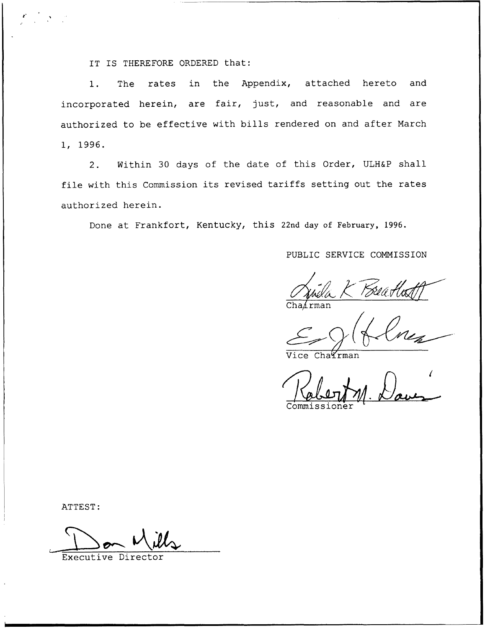IT IS THEREFORE ORDERED that:

1. The rates in the Appendix, attached hereto and incorporated herein, are fair, just, and reasonable and are authorized to be effective with bills rendered on and after March 1, 1996.

2. Within 30 days of the date of this Order, ULH&P shall file with this Commission its revised tariffs setting out the rates authorized herein.

Done at Frankfort, Kentucky, this 22nd day of February, 1996.

PUBLIC SERVICE COMMISSION

 $Chafrman$ 

 $\mathcal{L}_{\text{vice} \text{ChaTrma}}$ 

Commi

ATTEST:

Executive Director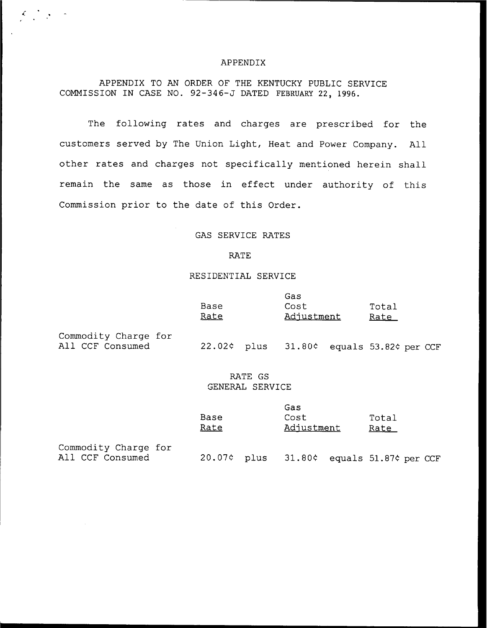#### APPENDIX

APPENDIX TO AN ORDER OF THE KENTUCKY PUBLIC SERVICE COMMISSION IN CASE NO. 92-34 6-J DATED FEBRUARY 22, 1996.

The following rates and charges are prescribed for the customers served by The Union Light, Heat and Power Company. All other rates and charges not specifically mentioned herein shall remain the same as those in effect under authority of this Commission prior to the date of this Order.

## GAS SERVICE RATES

#### RATE

## RESIDENTIAL SERVICE

|                                          | Base |  | Cost                                     |  | Total       |  |  |
|------------------------------------------|------|--|------------------------------------------|--|-------------|--|--|
|                                          | Rate |  | Adjustment                               |  | <u>Rate</u> |  |  |
| Commodity Charge for<br>All CCF Consumed |      |  | 22.02¢ plus 31.80¢ equals 53.82¢ per CCF |  |             |  |  |

# RATE GS GENERAL SERVICE

|      | Gas        |       |
|------|------------|-------|
| Base | Cost       | Total |
| Rate | Adjustment | Rate  |

Gas

Commodity Charge for<br>All CCF Consumed

 $C = \frac{1}{2}$  ,  $C = \frac{1}{2}$ 

20.07¢ plus 31.80¢ equals 51.87¢ per CCF